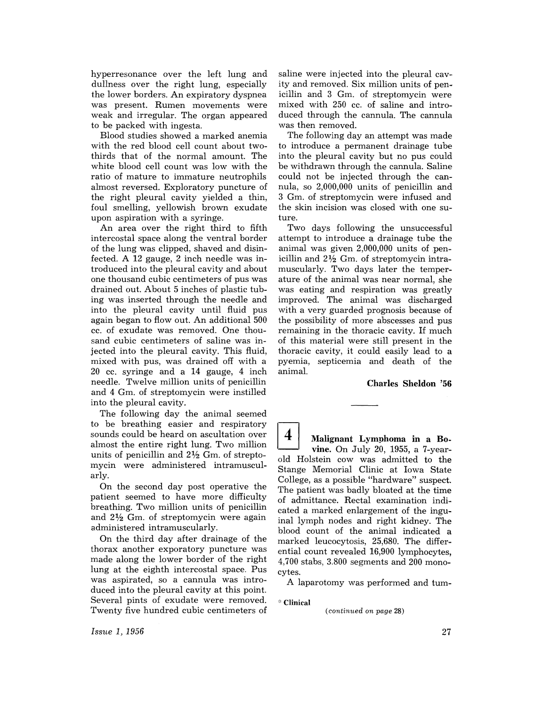hyperresonance over the left lung and dullness over the right lung, especially the lower borders. An expiratory dyspnea was present. Rumen movements were weak and irregular. The organ appeared to be packed with ingesta.

Blood studies showed a marked anemia with the red blood cell count about twothirds that of the normal amount. The white blood cell count was low with the ratio of mature to immature neutrophils almost reversed. Exploratory puncture of the right pleural cavity yielded a thin, foul smelling, yellowish brown exudate upon aspiration with a syringe.

An area over the right third to fifth intercostal space along the ventral border of the lung was clipped, shaved and disinfected. A 12 gauge, 2 inch needle was introduced into the pleural cavity and about one thousand cubic centimeters of pus was drained out. About 5 inches of plastic tubing was inserted through the needle and into the pleural cavity until fluid pus again began to flow out. An additional 500 cc. of exudate was removed. One thousand cubic centimeters of saline was injected into the pleural cavity. This fluid, mixed with pus, was drained off with a 20 cc. syringe and a 14 gauge, 4 inch needle. Twelve million units of penicillin and 4 Gm. of streptomycin were instilled into the pleural cavity.

The following day the animal seemed to be breathing easier and respiratory sounds could be heard on ascultation over almost the entire right lung. Two million units of penicillin and  $2\frac{1}{2}$  Gm. of streptomycin were administered intramuscularly.

On the second day post operative the patient seemed to have more difficulty breathing. Two million units of penicillin and  $2\frac{1}{2}$  Gm. of streptomycin were again administered intramuscularly.

On the third day after drainage of the thorax another exporatory puncture was made along the lower border of the right lung at the eighth intercostal space. Pus was aspirated, so a cannula was introduced into the pleural cavity at this point. Several pints of exudate were removed. Twenty five hundred cubic centimeters of

saline were injected into the pleural cavity and removed. Six million units of penicillin and 3 Gm. of streptomycin were mixed with 250 cc. of saline and introduced through the cannula. The cannula was then removed.

The following day an attempt was made to introduce a permanent drainage tube into the pleural cavity but no pus could be withdrawn through the cannula. Saline could not be injected through the cannula, so 2,000,000 units of penicillin and 3 Gm. of streptomycin were infused and the skin incision was closed with one suture.

Two days following the unsuccessful attempt to introduce a drainage tube the animal was given 2,000,000 units of penicillin and  $2\frac{1}{2}$  Gm. of streptomycin intramuscularly. Two days later the temperature of the animal was near normal, she was eating and respiration was greatly improved. The animal was discharged with a very guarded prognosis because of the possibility of more abscesses and pus remaining in the thoracic cavity. If much of this material were still present in the thoracic cavity, it could easily lead to a pyemia, septicemia and death of the animal.

## Charles **Sheldon** '56

4 **Malignant** Lymphoma **in a Bo**vine. On July 20, 1955, a 7-yearold Holstein cow was admitted to the Stange Memorial Clinic at Iowa State College, as a possible "hardware" suspect. The patient was badly bloated at the time of admittance. Rectal examination indicated a marked enlargement of the inguinal lymph nodes and right kidney. The blood count of the animal indicated a marked leucocytosis, 25,680. The differential count revealed 16,900 lymphocytes, 4,700 stabs, 3.800 segments and 200 monocytes.

A laparotomy was performed and tum-

.:. Clinical

*(continued on page* 28)

*Issue* 1, 1956